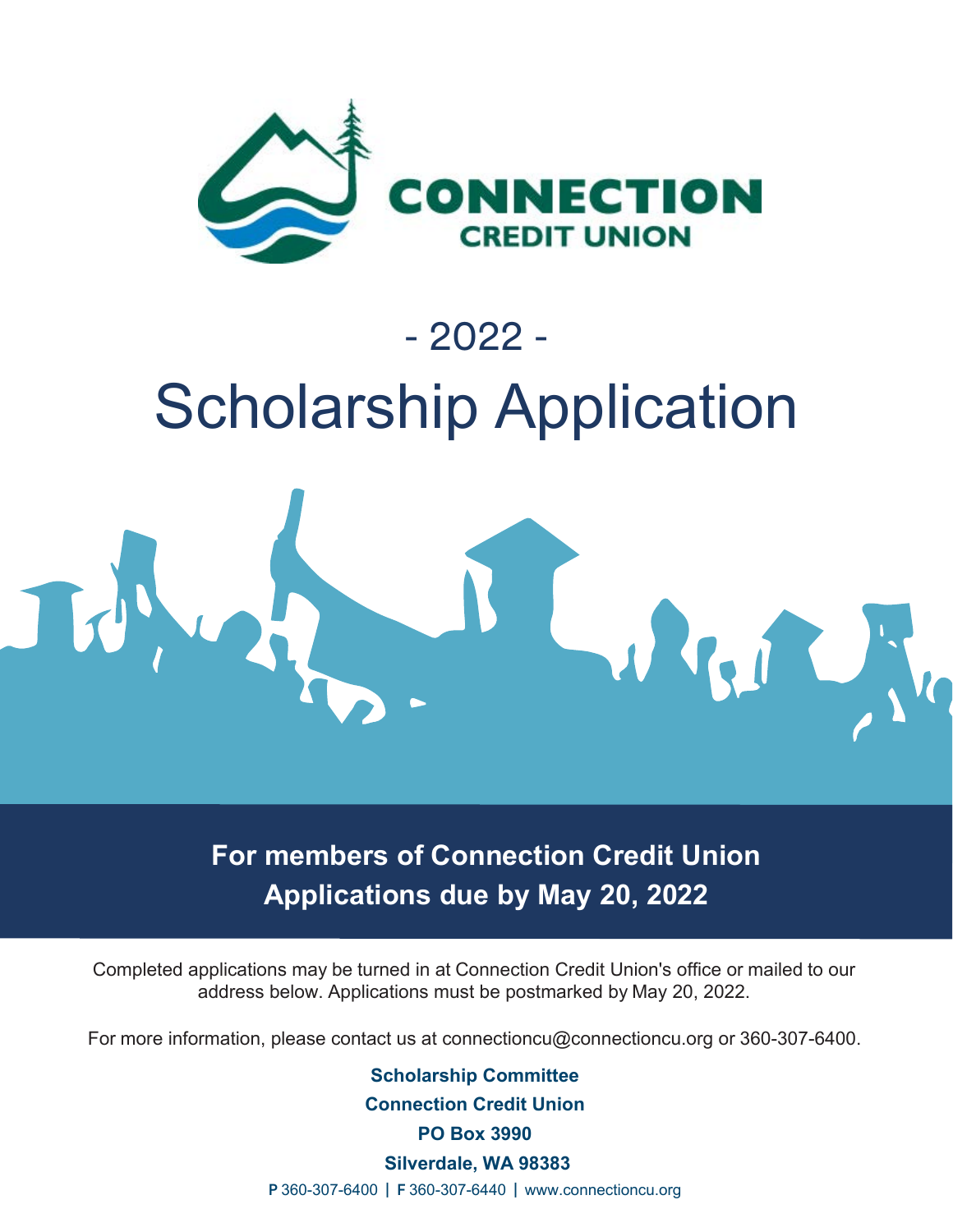

# - 2022 - Scholarship Application



**For members of Connection Credit Union Applications due by May 20, 2022**

Completed applications may be turned in at Connection Credit Union's office or mailed to our address below. Applications must be postmarked by May 20, 2022.

For more information, please contact us at connectioncu@connectioncu.org or 360-307-6400.

**Scholarship Committee Connection Credit Union PO Box 3990**

 **Silverdale, WA 98383**

P 360-307-6400 | F 360-307-6440 | www.connectioncu.org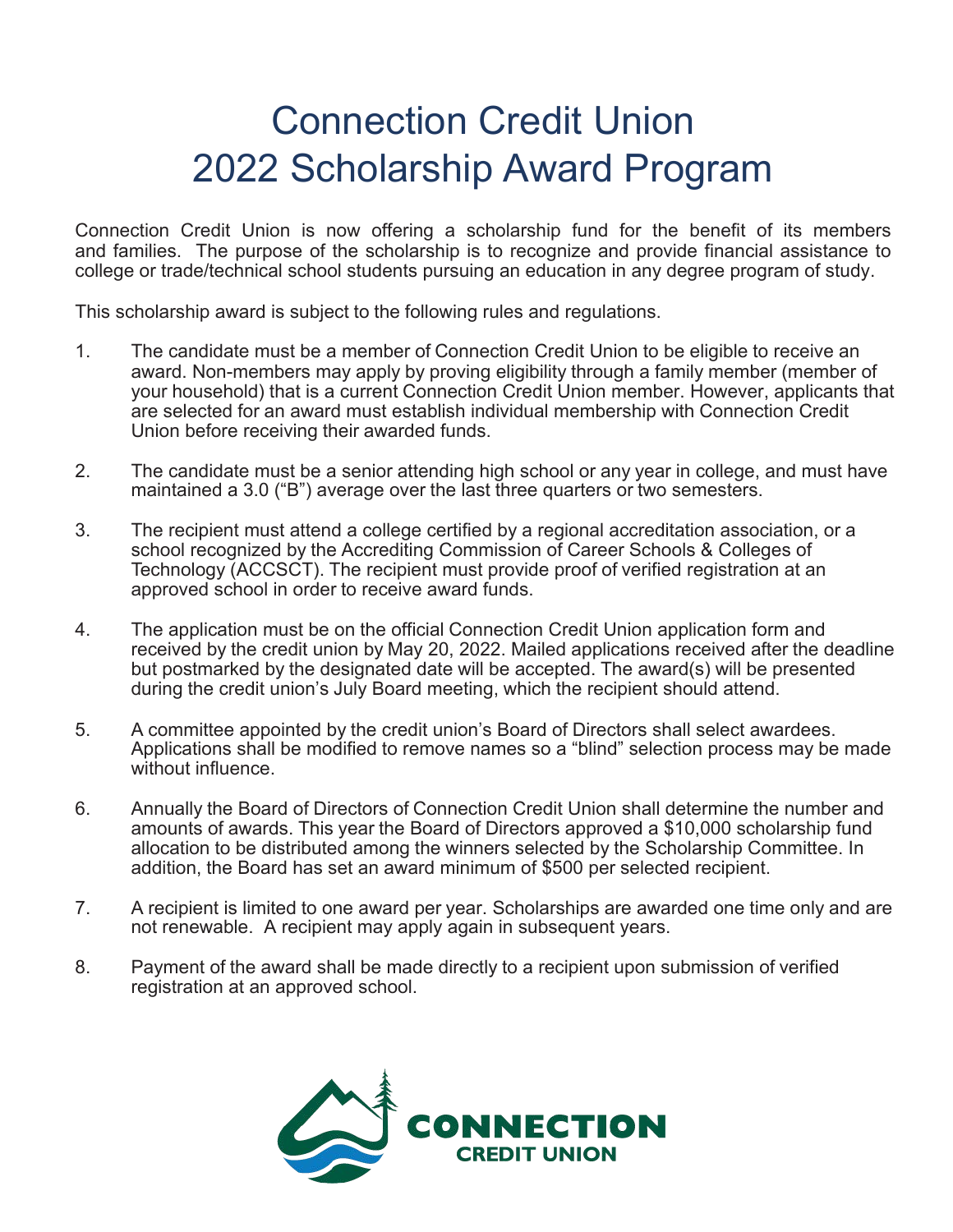### Connection Credit Union 2022 Scholarship Award Program

Connection Credit Union is now offering a scholarship fund for the benefit of its members and families. The purpose of the scholarship is to recognize and provide financial assistance to college or trade/technical school students pursuing an education in any degree program of study.

This scholarship award is subject to the following rules and regulations.

- 1. The candidate must be a member of Connection Credit Union to be eligible to receive an award. Non-members may apply by proving eligibility through a family member (member of your household) that is a current Connection Credit Union member. However, applicants that are selected for an award must establish individual membership with Connection Credit Union before receiving their awarded funds.
- 2. The candidate must be a senior attending high school or any year in college, and must have maintained a 3.0 ("B") average over the last three quarters or two semesters.
- 3. The recipient must attend a college certified by a regional accreditation association, or a school recognized by the Accrediting Commission of Career Schools & Colleges of Technology (ACCSCT). The recipient must provide proof of verified registration at an approved school in order to receive award funds.
- 4. The application must be on the official Connection Credit Union application form and received by the credit union by May 20, 2022. Mailed applications received after the deadline but postmarked by the designated date will be accepted. The award(s) will be presented during the credit union's July Board meeting, which the recipient should attend.
- 5. A committee appointed by the credit union's Board of Directors shall select awardees. Applications shall be modified to remove names so a "blind" selection process may be made without influence.
- 6. Annually the Board of Directors of Connection Credit Union shall determine the number and amounts of awards. This year the Board of Directors approved a \$10,000 scholarship fund allocation to be distributed among the winners selected by the Scholarship Committee. In addition, the Board has set an award minimum of \$500 per selected recipient.
- 7. A recipient is limited to one award per year. Scholarships are awarded one time only and are not renewable. A recipient may apply again in subsequent years.
- 8. Payment of the award shall be made directly to a recipient upon submission of verified registration at an approved school.

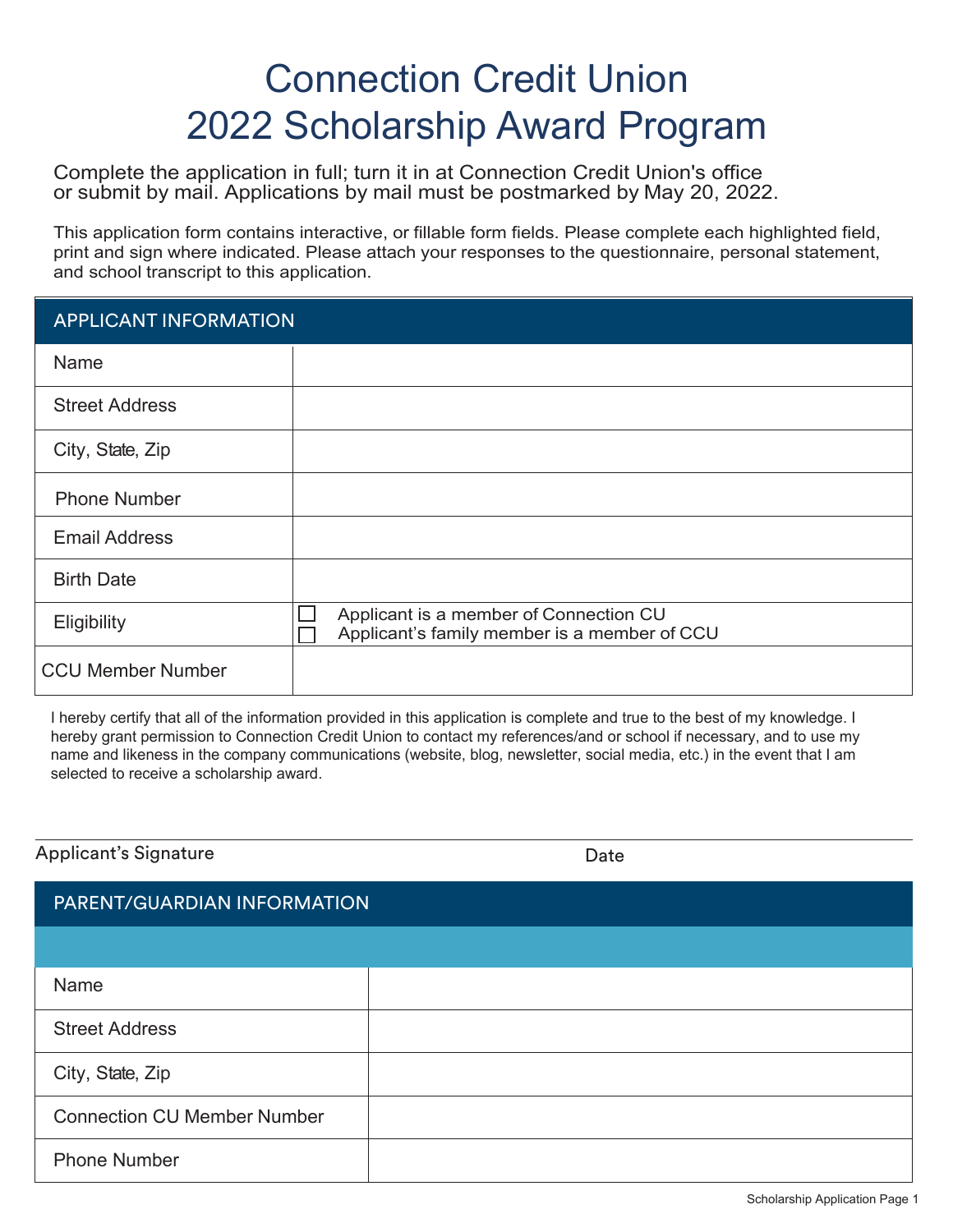## Connection Credit Union 2022 Scholarship Award Program

Complete the application in full; turn it in at Connection Credit Union's office or submit by mail. Applications by mail must be postmarked by May 20, 2022.

This application form contains interactive, or fillable form fields. Please complete each highlighted field, print and sign where indicated. Please attach your responses to the questionnaire, personal statement, and school transcript to this application.

#### Street Address City, State, Zip Name Email Address Birth Date Phone Number APPLICANT INFORMATION Eligibility  $\Box$  Applicant is a member of Connection CU<br> $\Box$  Applicant's family member is a member o Applicant's family member is a member of CCU CCU Member Number

I hereby certify that all of the information provided in this application is complete and true to the best of my knowledge. I hereby grant permission to Connection Credit Union to contact my references/and or school if necessary, and to use my name and likeness in the company communications (website, blog, newsletter, social media, etc.) in the event that I am selected to receive a scholarship award.

Applicant's Signature

Date

| PARENT/GUARDIAN INFORMATION        |  |  |
|------------------------------------|--|--|
|                                    |  |  |
| Name                               |  |  |
| <b>Street Address</b>              |  |  |
| City, State, Zip                   |  |  |
| <b>Connection CU Member Number</b> |  |  |
| <b>Phone Number</b>                |  |  |